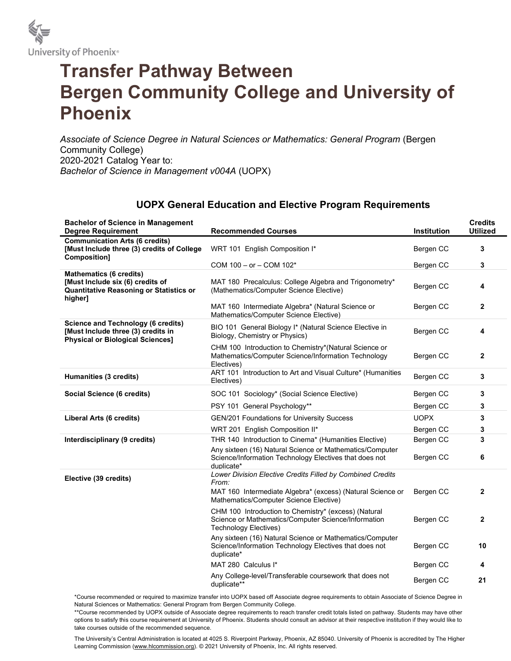

## Transfer Pathway Between Bergen Community College and University of Phoenix

Associate of Science Degree in Natural Sciences or Mathematics: General Program (Bergen Community College) 2020-2021 Catalog Year to: Bachelor of Science in Management v004A (UOPX)

## UOPX General Education and Elective Program Requirements

| <b>Bachelor of Science in Management</b><br><b>Degree Requirement</b>                                                           | <b>Recommended Courses</b>                                                                                                           | Institution | <b>Credits</b><br><b>Utilized</b> |
|---------------------------------------------------------------------------------------------------------------------------------|--------------------------------------------------------------------------------------------------------------------------------------|-------------|-----------------------------------|
| <b>Communication Arts (6 credits)</b><br>[Must Include three (3) credits of College<br>Composition]                             | WRT 101 English Composition I*                                                                                                       | Bergen CC   | 3                                 |
|                                                                                                                                 | COM 100 - or - COM 102*                                                                                                              | Bergen CC   | 3                                 |
| <b>Mathematics (6 credits)</b><br>[Must Include six (6) credits of<br><b>Quantitative Reasoning or Statistics or</b><br>higher] | MAT 180 Precalculus: College Algebra and Trigonometry*<br>(Mathematics/Computer Science Elective)                                    | Bergen CC   | 4                                 |
|                                                                                                                                 | MAT 160 Intermediate Algebra* (Natural Science or<br>Mathematics/Computer Science Elective)                                          | Bergen CC   | $\mathbf{2}$                      |
| <b>Science and Technology (6 credits)</b><br>[Must Include three (3) credits in<br><b>Physical or Biological Sciences]</b>      | BIO 101 General Biology I* (Natural Science Elective in<br>Biology, Chemistry or Physics)                                            | Bergen CC   | 4                                 |
|                                                                                                                                 | CHM 100 Introduction to Chemistry*(Natural Science or<br>Mathematics/Computer Science/Information Technology<br>Electives)           | Bergen CC   | $\mathbf{2}$                      |
| Humanities (3 credits)                                                                                                          | ART 101 Introduction to Art and Visual Culture* (Humanities<br>Electives)                                                            | Bergen CC   | 3                                 |
| Social Science (6 credits)                                                                                                      | SOC 101 Sociology* (Social Science Elective)                                                                                         | Bergen CC   | 3                                 |
|                                                                                                                                 | PSY 101 General Psychology**                                                                                                         | Bergen CC   | 3                                 |
| Liberal Arts (6 credits)                                                                                                        | GEN/201 Foundations for University Success                                                                                           | <b>UOPX</b> | 3                                 |
|                                                                                                                                 | WRT 201 English Composition II*                                                                                                      | Bergen CC   | 3                                 |
| Interdisciplinary (9 credits)                                                                                                   | THR 140 Introduction to Cinema* (Humanities Elective)                                                                                | Bergen CC   | 3                                 |
|                                                                                                                                 | Any sixteen (16) Natural Science or Mathematics/Computer<br>Science/Information Technology Electives that does not<br>duplicate*     | Bergen CC   | 6                                 |
| Elective (39 credits)                                                                                                           | Lower Division Elective Credits Filled by Combined Credits<br>From:                                                                  |             |                                   |
|                                                                                                                                 | MAT 160 Intermediate Algebra* (excess) (Natural Science or<br>Mathematics/Computer Science Elective)                                 | Bergen CC   | $\mathbf{2}$                      |
|                                                                                                                                 | CHM 100 Introduction to Chemistry* (excess) (Natural<br>Science or Mathematics/Computer Science/Information<br>Technology Electives) | Bergen CC   | $\mathbf{2}$                      |
|                                                                                                                                 | Any sixteen (16) Natural Science or Mathematics/Computer<br>Science/Information Technology Electives that does not<br>duplicate*     | Bergen CC   | 10                                |
|                                                                                                                                 | MAT 280 Calculus I*                                                                                                                  | Bergen CC   | 4                                 |
|                                                                                                                                 | Any College-level/Transferable coursework that does not<br>duplicate**                                                               | Bergen CC   | 21                                |

\*Course recommended or required to maximize transfer into UOPX based off Associate degree requirements to obtain Associate of Science Degree in Natural Sciences or Mathematics: General Program from Bergen Community College.

\*\*Course recommended by UOPX outside of Associate degree requirements to reach transfer credit totals listed on pathway. Students may have other options to satisfy this course requirement at University of Phoenix. Students should consult an advisor at their respective institution if they would like to take courses outside of the recommended sequence.

The University's Central Administration is located at 4025 S. Riverpoint Parkway, Phoenix, AZ 85040. University of Phoenix is accredited by The Higher Learning Commission (www.hlcommission.org). © 2021 University of Phoenix, Inc. All rights reserved.